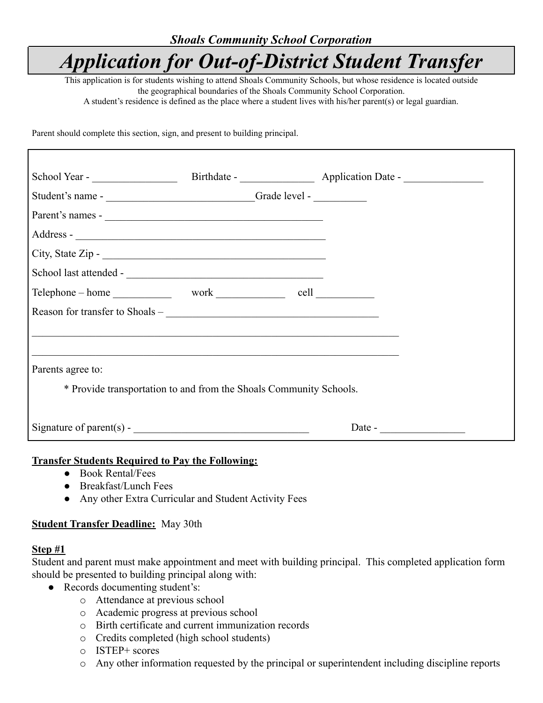## *Shoals Community School Corporation*

# *Application for Out-of-District Student Transfer*

This application is for students wishing to attend Shoals Community Schools, but whose residence is located outside the geographical boundaries of the Shoals Community School Corporation.

A student's residence is defined as the place where a student lives with his/her parent(s) or legal guardian.

Parent should complete this section, sign, and present to building principal.

| School Year - Birthdate - Birthdate - Application Date - ________________________                                                                                                                                                                                                                                                                                                                  |                                                                                   |  |
|----------------------------------------------------------------------------------------------------------------------------------------------------------------------------------------------------------------------------------------------------------------------------------------------------------------------------------------------------------------------------------------------------|-----------------------------------------------------------------------------------|--|
|                                                                                                                                                                                                                                                                                                                                                                                                    |                                                                                   |  |
| Parent's names -                                                                                                                                                                                                                                                                                                                                                                                   |                                                                                   |  |
|                                                                                                                                                                                                                                                                                                                                                                                                    |                                                                                   |  |
|                                                                                                                                                                                                                                                                                                                                                                                                    |                                                                                   |  |
|                                                                                                                                                                                                                                                                                                                                                                                                    |                                                                                   |  |
|                                                                                                                                                                                                                                                                                                                                                                                                    |                                                                                   |  |
|                                                                                                                                                                                                                                                                                                                                                                                                    |                                                                                   |  |
|                                                                                                                                                                                                                                                                                                                                                                                                    | ,我们也不能在这里的人,我们也不能在这里的人,我们也不能在这里的人,我们也不能在这里的人,我们也不能在这里的人,我们也不能在这里的人,我们也不能在这里的人,我们也 |  |
|                                                                                                                                                                                                                                                                                                                                                                                                    |                                                                                   |  |
| Parents agree to:                                                                                                                                                                                                                                                                                                                                                                                  |                                                                                   |  |
| * Provide transportation to and from the Shoals Community Schools.                                                                                                                                                                                                                                                                                                                                 |                                                                                   |  |
|                                                                                                                                                                                                                                                                                                                                                                                                    |                                                                                   |  |
| Signature of parent(s) - $\sqrt{\frac{1}{1-\frac{1}{1-\frac{1}{1-\frac{1}{1-\frac{1}{1-\frac{1}{1-\frac{1}{1-\frac{1}{1-\frac{1}{1-\frac{1}{1-\frac{1}{1-\frac{1}{1-\frac{1}{1-\frac{1}{1-\frac{1}{1-\frac{1}{1-\frac{1}{1-\frac{1}{1-\frac{1}{1-\frac{1}{1-\frac{1}{1-\frac{1}{1-\frac{1}{1-\frac{1}{1-\frac{1}{1-\frac{1}{1-\frac{1}{1-\frac{1}{1-\frac{1}{1-\frac{1}{1-\frac{1}{1-\frac{1}{1-\$ |                                                                                   |  |

#### **Transfer Students Required to Pay the Following:**

- Book Rental/Fees
- Breakfast/Lunch Fees
- Any other Extra Curricular and Student Activity Fees

#### **Student Transfer Deadline:** May 30th

#### **Step #1**

Student and parent must make appointment and meet with building principal. This completed application form should be presented to building principal along with:

- Records documenting student's:
	- o Attendance at previous school
	- o Academic progress at previous school
	- o Birth certificate and current immunization records
	- o Credits completed (high school students)
	- o ISTEP+ scores
	- o Any other information requested by the principal or superintendent including discipline reports